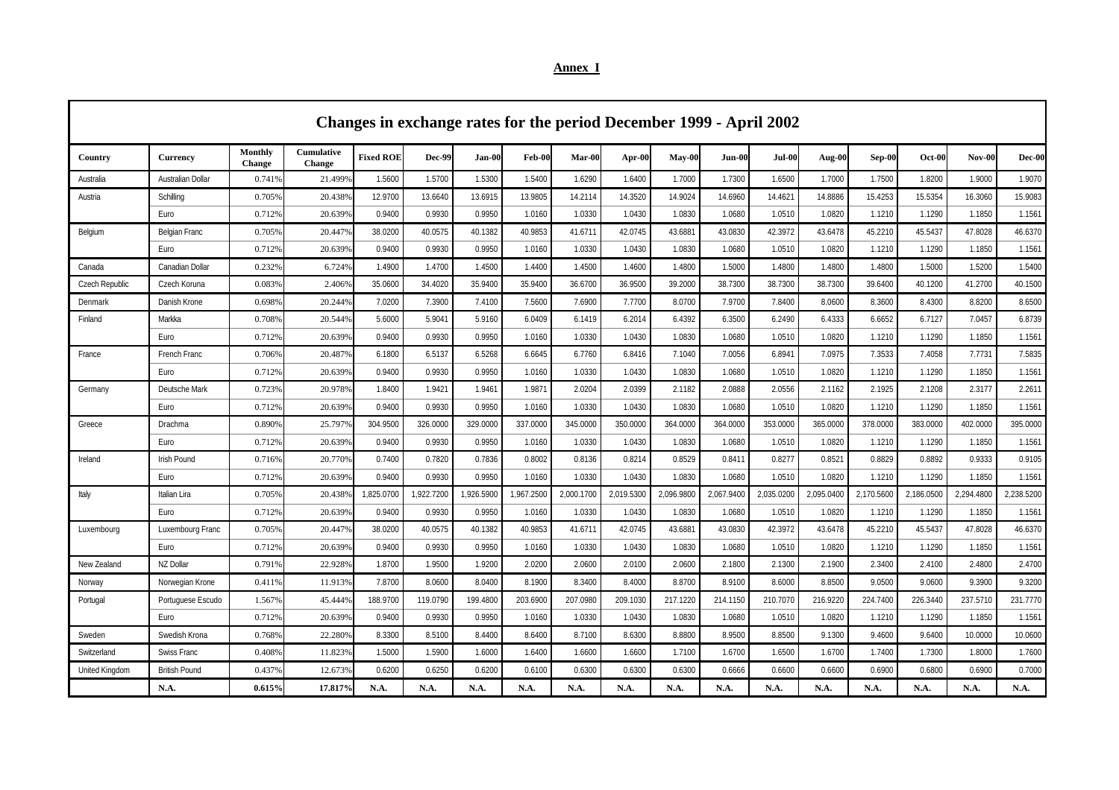|  | Annex I |  |  |  |  |  |
|--|---------|--|--|--|--|--|
|--|---------|--|--|--|--|--|

|                       | Changes in exchange rates for the period December 1999 - April 2002 |                          |                             |                  |            |            |            |            |            |            |            |            |            |            |            |            |            |
|-----------------------|---------------------------------------------------------------------|--------------------------|-----------------------------|------------------|------------|------------|------------|------------|------------|------------|------------|------------|------------|------------|------------|------------|------------|
| Country               | <b>Currency</b>                                                     | Monthly<br><b>Change</b> | Cumulative<br><b>Change</b> | <b>Fixed ROF</b> | Dec-99     | $Jan-00$   | Feb-00     | Mar-00     | Apr-00     | $May-00$   | $Jun-00$   | $Jul-00$   | Aug-00     | Sep-00     | $Oct-00$   | $Nov-00$   | Dec-00     |
| Australia             | Australian Dollar                                                   | 0.7419                   | 21.499%                     | 1.5600           | 1.5700     | 1.5300     | 1.5400     | 1.6290     | 1.6400     | 1.7000     | 1.7300     | 1.6500     | 1.7000     | 1.7500     | 1.8200     | 1.9000     | 1.9070     |
| Austria               | Schilling                                                           | 0.705%                   | 20.438%                     | 12.9700          | 13.6640    | 13.6915    | 13.9805    | 14.2114    | 14.3520    | 14.9024    | 14.6960    | 14.4621    | 14.8886    | 15.4253    | 15.5354    | 16.3060    | 15.9083    |
|                       | Euro                                                                | 0.712%                   | 20.639%                     | 0.9400           | 0.9930     | 0.9950     | 1.0160     | 1.0330     | 1.0430     | 1.0830     | 1.0680     | 1.0510     | 1.0820     | 1.1210     | 1.1290     | 1.1850     | 1.1561     |
| Belgium               | Belgian Franc                                                       | 0.705%                   | 20.447%                     | 38.0200          | 40.0575    | 40.1382    | 40.9853    | 41.6711    | 42.0745    | 43.6881    | 43.0830    | 42.3972    | 43.6478    | 45.2210    | 45.5437    | 47.8028    | 46.6370    |
|                       | Euro                                                                | 0.712%                   | 20.639%                     | 0.9400           | 0.9930     | 0.9950     | 1.0160     | 1.0330     | 1.0430     | 1.0830     | 1.0680     | 1.0510     | 1.0820     | 1.1210     | 1.1290     | 1.1850     | 1.1561     |
| Canada                | Canadian Dollar                                                     | 0.2329                   | 6.724%                      | 1.4900           | 1.4700     | 1.4500     | 1.4400     | 1.4500     | 1.4600     | 1.4800     | 1.5000     | 1.4800     | 1.4800     | 1.4800     | 1.5000     | 1.5200     | 1.5400     |
| Czech Republic        | Czech Koruna                                                        | 0.083%                   | 2.406%                      | 35.0600          | 34.4020    | 35.9400    | 35.9400    | 36.6700    | 36.9500    | 39.2000    | 38.7300    | 38.7300    | 38.7300    | 39.6400    | 40.1200    | 41.2700    | 40.1500    |
| Denmark               | Danish Krone                                                        | 0.6989                   | 20.244%                     | 7.0200           | 7.3900     | 7.4100     | 7.5600     | 7.6900     | 7.7700     | 8.0700     | 7.9700     | 7.8400     | 8.0600     | 8.3600     | 8.4300     | 8.8200     | 8.6500     |
| Finland               | Markka                                                              | 0.708%                   | 20.544%                     | 5.6000           | 5.9041     | 5.9160     | 6.0409     | 6.1419     | 6.2014     | 6.4392     | 6.3500     | 6.2490     | 6.4333     | 6.6652     | 6.7127     | 7.0457     | 6.8739     |
|                       | Euro                                                                | 0.712%                   | 20.639%                     | 0.9400           | 0.9930     | 0.9950     | 1.0160     | 1.0330     | 1.0430     | 1.0830     | 1.0680     | 1.0510     | 1.0820     | 1.1210     | 1.1290     | 1.1850     | 1.1561     |
| France                | French Franc                                                        | 0.7069                   | 20.487%                     | 6.1800           | 6.5137     | 6.5268     | 6.6645     | 6.7760     | 6.8416     | 7.1040     | 7.0056     | 6.8941     | 7.0975     | 7.3533     | 7.4058     | 7.7731     | 7.5835     |
|                       | Euro                                                                | 0.712%                   | 20.639%                     | 0.9400           | 0.9930     | 0.9950     | 1.0160     | 1.0330     | 1.0430     | 1.0830     | 1.0680     | 1.0510     | 1.0820     | 1.1210     | 1.1290     | 1.1850     | 1.1561     |
| Germany               | Deutsche Mark                                                       | 0.723%                   | 20.978%                     | 1.8400           | 1.9421     | 1.9461     | 1.9871     | 2.0204     | 2.0399     | 2.1182     | 2.0888     | 2.0556     | 2.1162     | 2.1925     | 2.1208     | 2.3177     | 2.2611     |
|                       | Euro                                                                | 0.712%                   | 20.639%                     | 0.9400           | 0.9930     | 0.9950     | 1.0160     | 1.0330     | 1.0430     | 1.0830     | 1.0680     | 1.0510     | 1.0820     | 1.1210     | 1.1290     | 1.1850     | 1.1561     |
| Greece                | Drachma                                                             | 0.890%                   | 25.797%                     | 304.9500         | 326.0000   | 329.0000   | 337.0000   | 345.0000   | 350.0000   | 364.0000   | 364.0000   | 353.0000   | 365.0000   | 378.0000   | 383.0000   | 402.0000   | 395.0000   |
|                       | Euro                                                                | 0.712%                   | 20.639%                     | 0.9400           | 0.9930     | 0.9950     | 1.0160     | 1.0330     | 1.0430     | 1.0830     | 1.0680     | 1.0510     | 1.0820     | 1.1210     | 1.1290     | 1.1850     | 1.1561     |
| Ireland               | <b>Irish Pound</b>                                                  | 0.716%                   | 20.770%                     | 0.7400           | 0.7820     | 0.7836     | 0.8002     | 0.8136     | 0.8214     | 0.8529     | 0.8411     | 0.8277     | 0.8521     | 0.8829     | 0.8892     | 0.9333     | 0.9105     |
|                       | Euro                                                                | 0.712%                   | 20.639%                     | 0.9400           | 0.9930     | 0.9950     | 1.0160     | 1.0330     | 1.0430     | 1.0830     | 1.0680     | 1.0510     | 1.0820     | 1.1210     | 1.1290     | 1.1850     | 1.1561     |
| Italy                 | Italian Lira                                                        | 0.705%                   | 20.438%                     | 1,825.0700       | 1,922.7200 | 1,926.5900 | 1,967.2500 | 2,000.1700 | 2,019.5300 | 2,096.9800 | 2,067.9400 | 2,035.0200 | 2,095.0400 | 2,170.5600 | 2,186.0500 | 2,294.4800 | 2,238.5200 |
|                       | Euro                                                                | 0.712%                   | 20.639%                     | 0.9400           | 0.9930     | 0.9950     | 1.0160     | 1.0330     | 1.0430     | 1.0830     | 1.0680     | 1.0510     | 1.0820     | 1.1210     | 1.1290     | 1.1850     | 1.1561     |
| Luxembourg            | Luxembourg Franc                                                    | 0.705%                   | 20.447%                     | 38.0200          | 40.0575    | 40.1382    | 40.9853    | 41.6711    | 42.0745    | 43.6881    | 43.0830    | 42.3972    | 43.6478    | 45.2210    | 45.5437    | 47.8028    | 46.6370    |
|                       | Euro                                                                | 0.7129                   | 20.639%                     | 0.9400           | 0.9930     | 0.9950     | 1.0160     | 1.0330     | 1.0430     | 1.0830     | 1.0680     | 1.0510     | 1.0820     | 1.1210     | 1.1290     | 1.1850     | 1.1561     |
| New Zealand           | NZ Dollar                                                           | 0.7919                   | 22.928%                     | 1.8700           | 1.9500     | 1.9200     | 2.0200     | 2.0600     | 2.0100     | 2.0600     | 2.1800     | 2.1300     | 2.1900     | 2.3400     | 2.4100     | 2.4800     | 2.4700     |
| Norway                | Norwegian Krone                                                     | 0.4119                   | 11.913%                     | 7.8700           | 8.0600     | 8.0400     | 8.1900     | 8.3400     | 8.4000     | 8.8700     | 8.9100     | 8.6000     | 8.8500     | 9.0500     | 9.0600     | 9.3900     | 9.3200     |
| Portugal              | Portuguese Escudo                                                   | 1.567%                   | 45.444%                     | 188.9700         | 119.0790   | 199.4800   | 203.6900   | 207.0980   | 209.1030   | 217.1220   | 214.1150   | 210.7070   | 216.9220   | 224.7400   | 226.3440   | 237.5710   | 231.7770   |
|                       | Euro                                                                | 0.712%                   | 20.639%                     | 0.9400           | 0.9930     | 0.9950     | 1.0160     | 1.0330     | 1.0430     | 1.0830     | 1.0680     | 1.0510     | 1.0820     | 1.1210     | 1.1290     | 1.1850     | 1.1561     |
| Sweden                | Swedish Krona                                                       | 0.7689                   | 22.280%                     | 8.3300           | 8.5100     | 8.4400     | 8.6400     | 8.7100     | 8.6300     | 8.8800     | 8.9500     | 8.8500     | 9.1300     | 9.4600     | 9.6400     | 10.0000    | 10.0600    |
| Switzerland           | <b>Swiss Franc</b>                                                  | 0.4089                   | 11.823%                     | 1.5000           | 1.5900     | 1.6000     | 1.6400     | 1.6600     | 1.6600     | 1.7100     | 1.6700     | 1.6500     | 1.6700     | 1.7400     | 1.7300     | 1.8000     | 1.7600     |
| <b>United Kingdom</b> | <b>British Pound</b>                                                | 0.4379                   | 12.673%                     | 0.6200           | 0.6250     | 0.6200     | 0.6100     | 0.6300     | 0.6300     | 0.6300     | 0.6666     | 0.6600     | 0.6600     | 0.6900     | 0.6800     | 0.6900     | 0.7000     |
|                       | N.A.                                                                | 0.615%                   | 17.817%                     | N.A.             | N.A.       | N.A.       | N.A.       | N.A.       | N.A.       | N.A.       | N.A.       | N.A.       | N.A.       | N.A.       | N.A.       | N.A.       | N.A.       |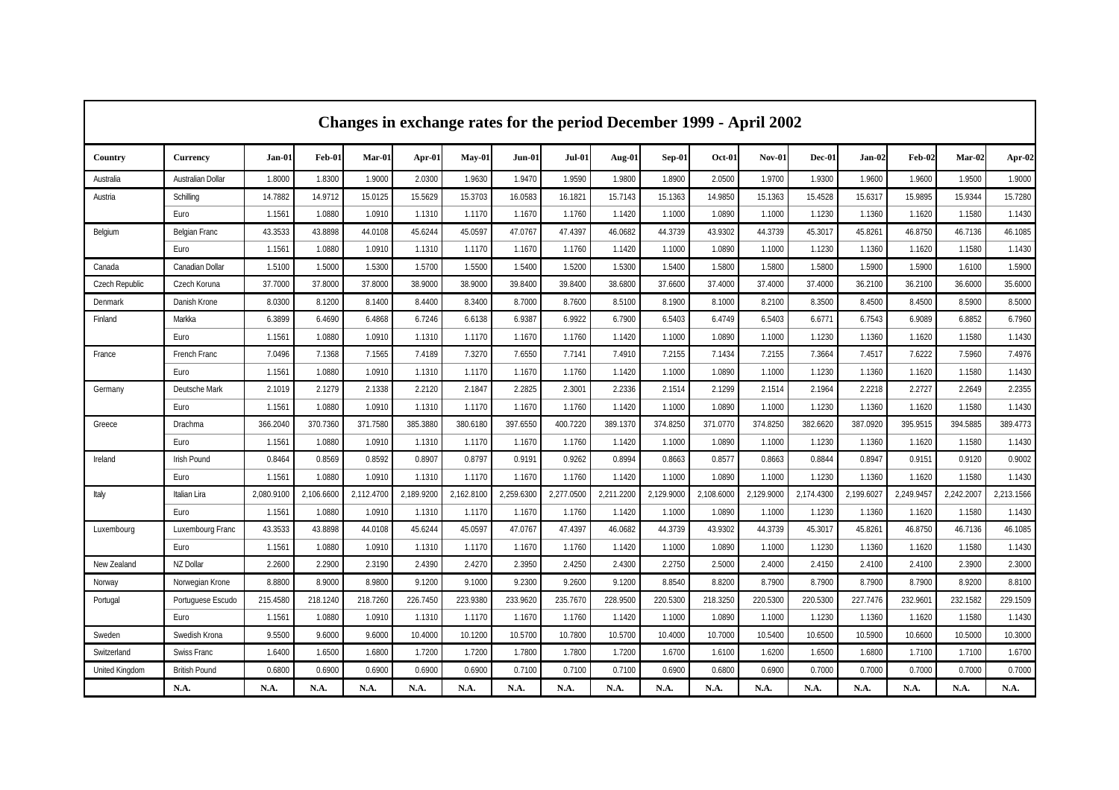|                       | Changes in exchange rates for the period December 1999 - April 2002 |            |            |            |            |            |            |            |            |            |            |               |            |            |            |            |            |
|-----------------------|---------------------------------------------------------------------|------------|------------|------------|------------|------------|------------|------------|------------|------------|------------|---------------|------------|------------|------------|------------|------------|
| Country               | Currency                                                            | Jan-01     | Feb-01     | Mar-01     | Apr-01     | May-01     | $Jun-01$   | $Jul-01$   | Aug-01     | Sep-01     | $Oct-01$   | <b>Nov-01</b> | Dec-01     | Jan-02     | Feb-02     | Mar-02     | Apr-02     |
| Australia             | Australian Dollar                                                   | 1.8000     | 1.8300     | 1.9000     | 2.0300     | 1.9630     | 1.9470     | 1.9590     | 1.9800     | 1.8900     | 2.0500     | 1.9700        | 1.9300     | 1.9600     | 1.9600     | 1.9500     | 1.9000     |
| Austria               | Schilling                                                           | 14.7882    | 14.9712    | 15.0125    | 15.5629    | 15.3703    | 16.0583    | 16.1821    | 15.7143    | 15.1363    | 14.9850    | 15.1363       | 15.4528    | 15.6317    | 15.9895    | 15.9344    | 15.7280    |
|                       | Euro                                                                | 1.1561     | 1.0880     | 1.0910     | 1.1310     | 1.1170     | 1.1670     | 1.1760     | 1.1420     | 1.1000     | 1.0890     | 1.1000        | 1.1230     | 1.1360     | 1.1620     | 1.1580     | 1.1430     |
| Belgium               | <b>Belgian Franc</b>                                                | 43.3533    | 43.8898    | 44.0108    | 45.6244    | 45.0597    | 47.0767    | 47.4397    | 46.0682    | 44.3739    | 43.9302    | 44.3739       | 45.3017    | 45.8261    | 46.8750    | 46.7136    | 46.1085    |
|                       | Euro                                                                | 1.1561     | 1.0880     | 1.0910     | 1.1310     | 1.1170     | 1.1670     | 1.1760     | 1.1420     | 1.1000     | 1.0890     | 1.1000        | 1.1230     | 1.1360     | 1.1620     | 1.1580     | 1.1430     |
| Canada                | Canadian Dollar                                                     | 1.5100     | 1.5000     | 1.5300     | 1.5700     | 1.5500     | 1.5400     | 1.5200     | 1.5300     | 1.5400     | 1.5800     | 1.5800        | 1.5800     | 1.5900     | 1.5900     | 1.6100     | 1.5900     |
| <b>Czech Republic</b> | Czech Koruna                                                        | 37.7000    | 37.8000    | 37,8000    | 38.9000    | 38.9000    | 39.8400    | 39.8400    | 38.6800    | 37.6600    | 37.4000    | 37.4000       | 37.4000    | 36.2100    | 36.2100    | 36.6000    | 35.6000    |
| Denmark               | Danish Krone                                                        | 8.0300     | 8.1200     | 8.1400     | 8.4400     | 8.3400     | 8.7000     | 8.7600     | 8.5100     | 8.1900     | 8.1000     | 8.2100        | 8.3500     | 8.4500     | 8.4500     | 8.5900     | 8.5000     |
| Finland               | Markka                                                              | 6.3899     | 6.4690     | 6.4868     | 6.7246     | 6.6138     | 6.9387     | 6.9922     | 6.7900     | 6.5403     | 6.4749     | 6.5403        | 6.6771     | 6.7543     | 6.9089     | 6.8852     | 6.7960     |
|                       | Euro                                                                | 1.1561     | 1.0880     | 1.0910     | 1.1310     | 1.1170     | 1.1670     | 1.1760     | 1.1420     | 1.1000     | 1.0890     | 1.1000        | 1.1230     | 1.1360     | 1.1620     | 1.1580     | 1.1430     |
| France                | French Franc                                                        | 7.0496     | 7.1368     | 7.1565     | 7.4189     | 7.3270     | 7.6550     | 7.7141     | 7.4910     | 7.2155     | 7.1434     | 7.2155        | 7.3664     | 7.4517     | 7.6222     | 7.5960     | 7.4976     |
|                       | Euro                                                                | 1.1561     | 1.0880     | 1.0910     | 1.1310     | 1.1170     | 1.1670     | 1.1760     | 1.1420     | 1.1000     | 1.0890     | 1.1000        | 1.1230     | 1.1360     | 1.1620     | 1.1580     | 1.1430     |
| Germany               | Deutsche Mark                                                       | 2.1019     | 2.1279     | 2.1338     | 2.2120     | 2.1847     | 2.2825     | 2.3001     | 2.2336     | 2.1514     | 2.1299     | 2.1514        | 2.1964     | 2.2218     | 2.2727     | 2.2649     | 2.2355     |
|                       | Euro                                                                | 1.1561     | 1.0880     | 1.0910     | 1.1310     | 1.1170     | 1.1670     | 1.1760     | 1.1420     | 1.1000     | 1.0890     | 1.1000        | 1.1230     | 1.1360     | 1.1620     | 1.1580     | 1.1430     |
| Greece                | Drachma                                                             | 366.2040   | 370.7360   | 371.7580   | 385.3880   | 380.6180   | 397.6550   | 400.7220   | 389.1370   | 374.8250   | 371.0770   | 374.8250      | 382.6620   | 387.0920   | 395.9515   | 394.5885   | 389.4773   |
|                       | Euro                                                                | 1.1561     | 1.0880     | 1.0910     | 1.1310     | 1.1170     | 1.1670     | 1.1760     | 1.1420     | 1.1000     | 1.0890     | 1.1000        | 1.1230     | 1.1360     | 1.1620     | 1.1580     | 1.1430     |
| Ireland               | <b>Irish Pound</b>                                                  | 0.8464     | 0.8569     | 0.8592     | 0.8907     | 0.8797     | 0.9191     | 0.9262     | 0.8994     | 0.8663     | 0.8577     | 0.8663        | 0.8844     | 0.8947     | 0.9151     | 0.9120     | 0.9002     |
|                       | Euro                                                                | 1.1561     | 1.0880     | 1.0910     | 1.1310     | 1.1170     | 1.1670     | 1.1760     | 1.1420     | 1.1000     | 1.0890     | 1.1000        | 1.1230     | 1.1360     | 1.1620     | 1.1580     | 1.1430     |
| Italy                 | Italian Lira                                                        | 2.080.9100 | 2.106.6600 | 2.112.4700 | 2.189.9200 | 2.162.8100 | 2.259.6300 | 2.277.0500 | 2.211.2200 | 2.129.9000 | 2.108.6000 | 2.129.9000    | 2.174.4300 | 2,199.6027 | 2.249.9457 | 2.242.2007 | 2,213.1566 |
|                       | Euro                                                                | 1.1561     | 1.0880     | 1.0910     | 1.1310     | 1.1170     | 1.1670     | 1.1760     | 1.1420     | 1.1000     | 1.0890     | 1.1000        | 1.1230     | 1.1360     | 1.1620     | 1.1580     | 1.1430     |
| Luxembourg            | Luxembourg Franc                                                    | 43.3533    | 43.8898    | 44.0108    | 45.6244    | 45.0597    | 47.0767    | 47.4397    | 46.0682    | 44.3739    | 43.9302    | 44.3739       | 45.3017    | 45.8261    | 46.8750    | 46.7136    | 46.1085    |
|                       | Euro                                                                | 1.1561     | 1.0880     | 1.0910     | 1.1310     | 1.1170     | 1.1670     | 1.1760     | 1.1420     | 1.1000     | 1.0890     | 1.1000        | 1.1230     | 1.1360     | 1.1620     | 1.1580     | 1.1430     |
| New Zealand           | NZ Dollar                                                           | 2.2600     | 2.2900     | 2.3190     | 2.4390     | 2.4270     | 2.3950     | 2.4250     | 2.4300     | 2.2750     | 2.5000     | 2.4000        | 2.4150     | 2.4100     | 2.4100     | 2.3900     | 2.3000     |
| Norway                | Norwegian Krone                                                     | 8.8800     | 8.9000     | 8.9800     | 9.1200     | 9.1000     | 9.2300     | 9.2600     | 9.1200     | 8.8540     | 8.8200     | 8.7900        | 8.7900     | 8.7900     | 8.7900     | 8.9200     | 8.8100     |
| Portugal              | Portuguese Escudo                                                   | 215.4580   | 218.1240   | 218.7260   | 226.7450   | 223.9380   | 233.9620   | 235.7670   | 228.9500   | 220.5300   | 218.3250   | 220.5300      | 220.5300   | 227.7476   | 232.9601   | 232.1582   | 229.1509   |
|                       | Euro                                                                | 1.1561     | 1.0880     | 1.0910     | 1.1310     | 1.1170     | 1.1670     | 1.1760     | 1.1420     | 1.1000     | 1.0890     | 1.1000        | 1.1230     | 1.1360     | 1.1620     | 1.1580     | 1.1430     |
| Sweden                | Swedish Krona                                                       | 9.5500     | 9.6000     | 9.6000     | 10.4000    | 10.1200    | 10.5700    | 10.7800    | 10.5700    | 10.4000    | 10.7000    | 10.5400       | 10.6500    | 10.5900    | 10.6600    | 10.5000    | 10.3000    |
| Switzerland           | Swiss Franc                                                         | 1.6400     | 1.6500     | 1.6800     | 1.7200     | 1.7200     | 1.7800     | 1.7800     | 1.7200     | 1.6700     | 1.6100     | 1.6200        | 1.6500     | 1.6800     | 1.7100     | 1.7100     | 1.6700     |
| United Kingdom        | <b>British Pound</b>                                                | 0.6800     | 0.6900     | 0.6900     | 0.6900     | 0.6900     | 0.7100     | 0.7100     | 0.7100     | 0.6900     | 0.6800     | 0.6900        | 0.7000     | 0.7000     | 0.7000     | 0.7000     | 0.7000     |
|                       | N.A.                                                                | N.A.       | N.A.       | N.A.       | N.A.       | N.A.       | N.A.       | N.A.       | N.A.       | N.A.       | N.A.       | N.A.          | N.A.       | N.A.       | N.A.       | N.A.       | N.A.       |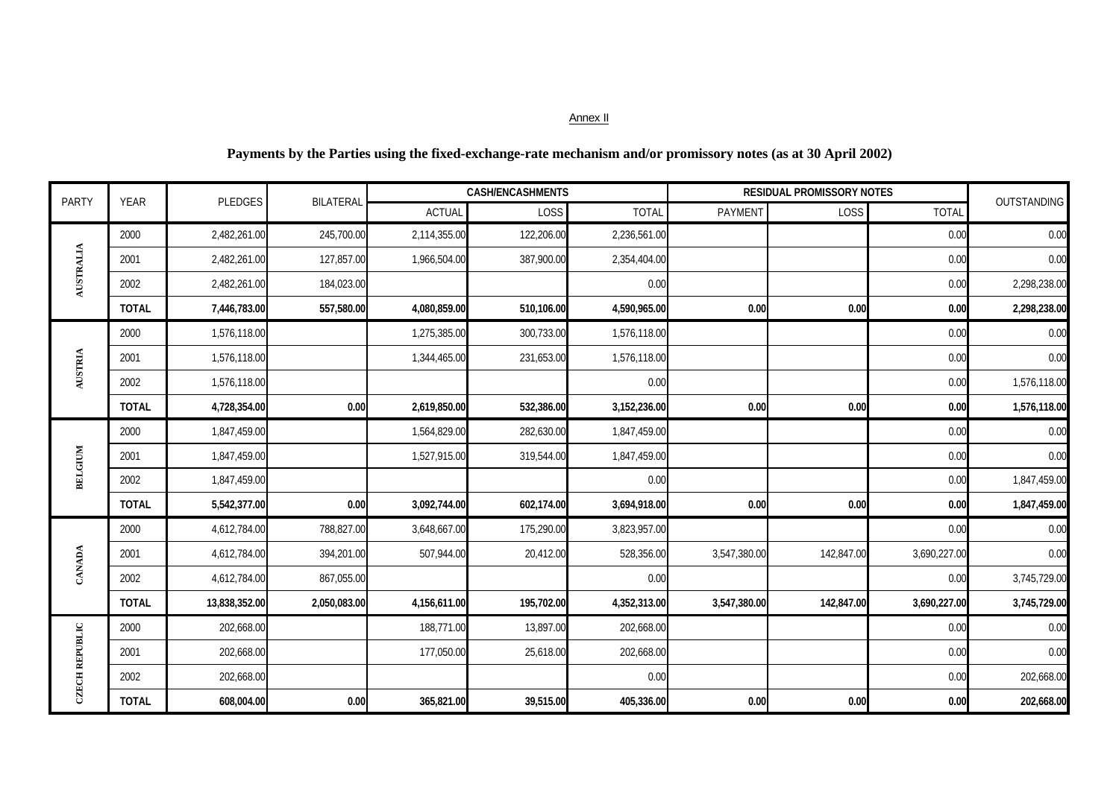| <b>PARTY</b>          | <b>YEAR</b>  | PLEDGES       | BILATERAL    |               | <b>CASH/ENCASHMENTS</b> |              |                | <b>RESIDUAL PROMISSORY NOTES</b> |              | OUTSTANDING  |
|-----------------------|--------------|---------------|--------------|---------------|-------------------------|--------------|----------------|----------------------------------|--------------|--------------|
|                       |              |               |              | <b>ACTUAL</b> | LOSS                    | <b>TOTAL</b> | <b>PAYMENT</b> | LOSS                             | <b>TOTAL</b> |              |
|                       | 2000         | 2,482,261.00  | 245,700.00   | 2,114,355.00  | 122,206.00              | 2,236,561.00 |                |                                  | 0.00         | 0.00         |
|                       | 2001         | 2,482,261.00  | 127,857.00   | 1,966,504.00  | 387,900.00              | 2,354,404.00 |                |                                  | 0.00         | 0.00         |
| AUSTRALIA             | 2002         | 2,482,261.00  | 184,023.00   |               |                         | 0.00         |                |                                  | 0.00         | 2,298,238.00 |
|                       | <b>TOTAL</b> | 7,446,783.00  | 557,580.00   | 4,080,859.00  | 510,106.00              | 4,590,965.00 | 0.00           | 0.00                             | 0.00         | 2,298,238.00 |
|                       | 2000         | 1,576,118.00  |              | 1,275,385.00  | 300,733.00              | 1,576,118.00 |                |                                  | 0.00         | 0.00         |
|                       | 2001         | 1,576,118.00  |              | 1,344,465.00  | 231,653.00              | 1,576,118.00 |                |                                  | 0.00         | 0.00         |
| AUSTRIA               | 2002         | 1,576,118.00  |              |               |                         | 0.00         |                |                                  | 0.00         | 1,576,118.00 |
|                       | <b>TOTAL</b> | 4,728,354.00  | 0.00         | 2,619,850.00  | 532,386.00              | 3,152,236.00 | 0.00           | 0.00                             | 0.00         | 1,576,118.00 |
|                       | 2000         | 1,847,459.00  |              | 1,564,829.00  | 282,630.00              | 1,847,459.00 |                |                                  | 0.00         | 0.00         |
|                       | 2001         | 1,847,459.00  |              | 1,527,915.00  | 319,544.00              | 1,847,459.00 |                |                                  | 0.00         | 0.00         |
| <b>BELGIUM</b>        | 2002         | 1,847,459.00  |              |               |                         | 0.00         |                |                                  | 0.00         | 1,847,459.00 |
|                       | <b>TOTAL</b> | 5,542,377.00  | 0.00         | 3,092,744.00  | 602,174.00              | 3,694,918.00 | 0.00           | 0.00                             | 0.00         | 1,847,459.00 |
|                       | 2000         | 4,612,784.00  | 788,827.00   | 3,648,667.00  | 175,290.00              | 3,823,957.00 |                |                                  | 0.00         | 0.00         |
|                       | 2001         | 4,612,784.00  | 394,201.00   | 507,944.00    | 20,412.00               | 528,356.00   | 3,547,380.00   | 142,847.00                       | 3,690,227.00 | 0.00         |
| CANADA                | 2002         | 4,612,784.00  | 867,055.00   |               |                         | 0.00         |                |                                  | 0.00         | 3,745,729.00 |
|                       | <b>TOTAL</b> | 13,838,352.00 | 2,050,083.00 | 4,156,611.00  | 195,702.00              | 4,352,313.00 | 3,547,380.00   | 142,847.00                       | 3,690,227.00 | 3,745,729.00 |
|                       | 2000         | 202,668.00    |              | 188,771.00    | 13,897.00               | 202,668.00   |                |                                  | 0.00         | 0.00         |
|                       | 2001         | 202,668.00    |              | 177,050.00    | 25,618.00               | 202,668.00   |                |                                  | 0.00         | 0.00         |
| <b>CZECH REPUBLIC</b> | 2002         | 202,668.00    |              |               |                         | 0.00         |                |                                  | 0.00         | 202,668.00   |
|                       | <b>TOTAL</b> | 608,004.00    | 0.00         | 365,821.00    | 39,515.00               | 405,336.00   | 0.00           | 0.00                             | 0.00         | 202,668.00   |

## **Payments by the Parties using the fixed-exchange-rate mechanism and/or promissory notes (as at 30 April 2002)**

### Annex II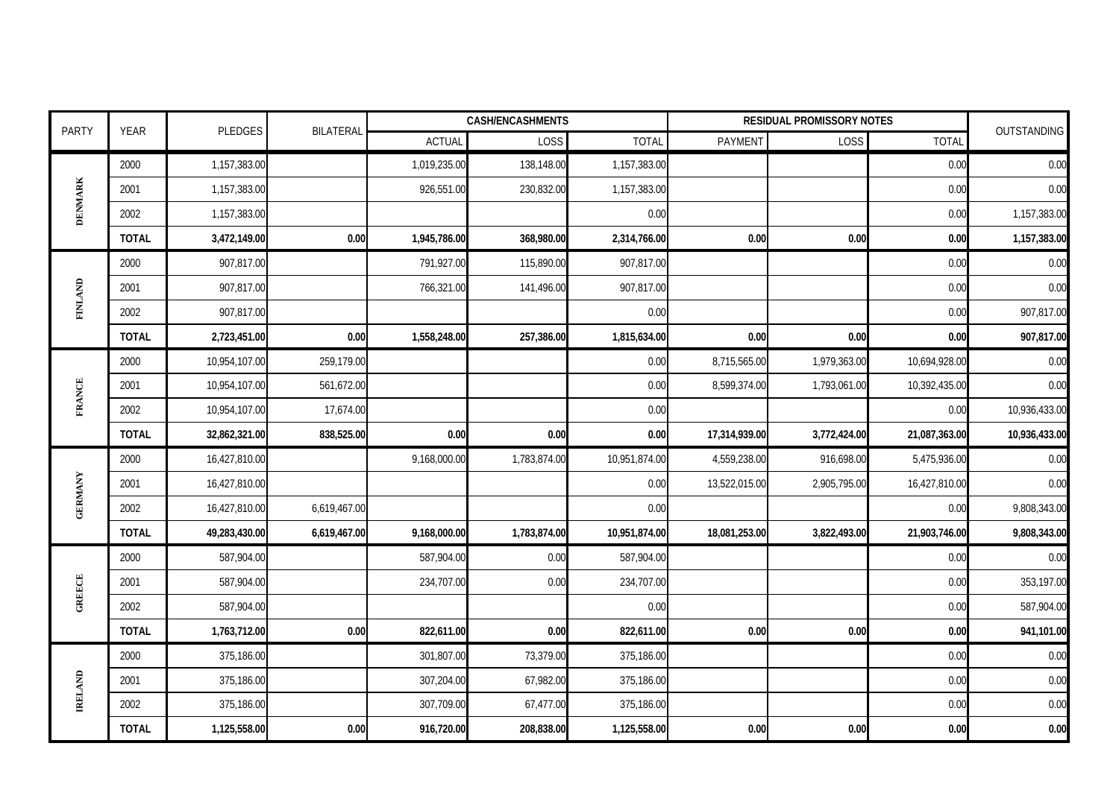| <b>PARTY</b>   | <b>YEAR</b>  | PLEDGES       | <b>BILATERAL</b> | <b>CASH/ENCASHMENTS</b><br><b>RESIDUAL PROMISSORY NOTES</b> |              |               |               |              |               | OUTSTANDING   |
|----------------|--------------|---------------|------------------|-------------------------------------------------------------|--------------|---------------|---------------|--------------|---------------|---------------|
|                |              |               |                  | <b>ACTUAL</b>                                               | LOSS         | <b>TOTAL</b>  | PAYMENT       | LOSS         | <b>TOTAL</b>  |               |
|                | 2000         | 1,157,383.00  |                  | 1,019,235.00                                                | 138,148.00   | 1,157,383.00  |               |              | 0.00          | 0.00          |
| <b>DENMARK</b> | 2001         | 1,157,383.00  |                  | 926,551.00                                                  | 230,832.00   | 1,157,383.00  |               |              | 0.00          | 0.00          |
|                | 2002         | 1,157,383.00  |                  |                                                             |              | 0.00          |               |              | 0.00          | 1,157,383.00  |
|                | <b>TOTAL</b> | 3,472,149.00  | 0.00             | 1,945,786.00                                                | 368,980.00   | 2,314,766.00  | 0.00          | 0.00         | 0.00          | 1,157,383.00  |
|                | 2000         | 907,817.00    |                  | 791,927.00                                                  | 115,890.00   | 907,817.00    |               |              | 0.00          | 0.00          |
| <b>FINLAND</b> | 2001         | 907,817.00    |                  | 766,321.00                                                  | 141,496.00   | 907,817.00    |               |              | 0.00          | 0.00          |
|                | 2002         | 907,817.00    |                  |                                                             |              | 0.00          |               |              | 0.00          | 907,817.00    |
|                | <b>TOTAL</b> | 2,723,451.00  | 0.00             | 1,558,248.00                                                | 257,386.00   | 1,815,634.00  | 0.00          | 0.00         | 0.00          | 907,817.00    |
|                | 2000         | 10,954,107.00 | 259,179.00       |                                                             |              | 0.00          | 8,715,565.00  | 1,979,363.00 | 10,694,928.00 | 0.00          |
| <b>FRANCE</b>  | 2001         | 10,954,107.00 | 561,672.00       |                                                             |              | 0.00          | 8,599,374.00  | 1,793,061.00 | 10,392,435.00 | 0.00          |
|                | 2002         | 10,954,107.00 | 17,674.00        |                                                             |              | 0.00          |               |              | 0.00          | 10,936,433.00 |
|                | <b>TOTAL</b> | 32,862,321.00 | 838,525.00       | 0.00                                                        | 0.00         | 0.00          | 17,314,939.00 | 3,772,424.00 | 21,087,363.00 | 10,936,433.00 |
|                | 2000         | 16,427,810.00 |                  | 9,168,000.00                                                | 1,783,874.00 | 10,951,874.00 | 4,559,238.00  | 916,698.00   | 5,475,936.00  | 0.00          |
|                | 2001         | 16,427,810.00 |                  |                                                             |              | 0.00          | 13,522,015.00 | 2,905,795.00 | 16,427,810.00 | 0.00          |
| <b>GERMANY</b> | 2002         | 16,427,810.00 | 6,619,467.00     |                                                             |              | 0.00          |               |              | 0.00          | 9,808,343.00  |
|                | <b>TOTAL</b> | 49,283,430.00 | 6,619,467.00     | 9,168,000.00                                                | 1,783,874.00 | 10,951,874.00 | 18,081,253.00 | 3,822,493.00 | 21,903,746.00 | 9,808,343.00  |
|                | 2000         | 587,904.00    |                  | 587,904.00                                                  | 0.00         | 587,904.00    |               |              | 0.00          | 0.00          |
| <b>GREECE</b>  | 2001         | 587,904.00    |                  | 234,707.00                                                  | 0.00         | 234,707.00    |               |              | 0.00          | 353,197.00    |
|                | 2002         | 587,904.00    |                  |                                                             |              | 0.00          |               |              | 0.00          | 587,904.00    |
|                | <b>TOTAL</b> | 1,763,712.00  | 0.00             | 822,611.00                                                  | 0.00         | 822,611.00    | 0.00          | 0.00         | 0.00          | 941,101.00    |
|                | 2000         | 375,186.00    |                  | 301,807.00                                                  | 73,379.00    | 375,186.00    |               |              | 0.00          | 0.00          |
| <b>IRELAND</b> | 2001         | 375,186.00    |                  | 307,204.00                                                  | 67,982.00    | 375,186.00    |               |              | 0.00          | 0.00          |
|                | 2002         | 375,186.00    |                  | 307,709.00                                                  | 67,477.00    | 375,186.00    |               |              | 0.00          | 0.00          |
|                | <b>TOTAL</b> | 1,125,558.00  | 0.00             | 916,720.00                                                  | 208,838.00   | 1,125,558.00  | 0.00          | 0.00         | 0.00          | 0.00          |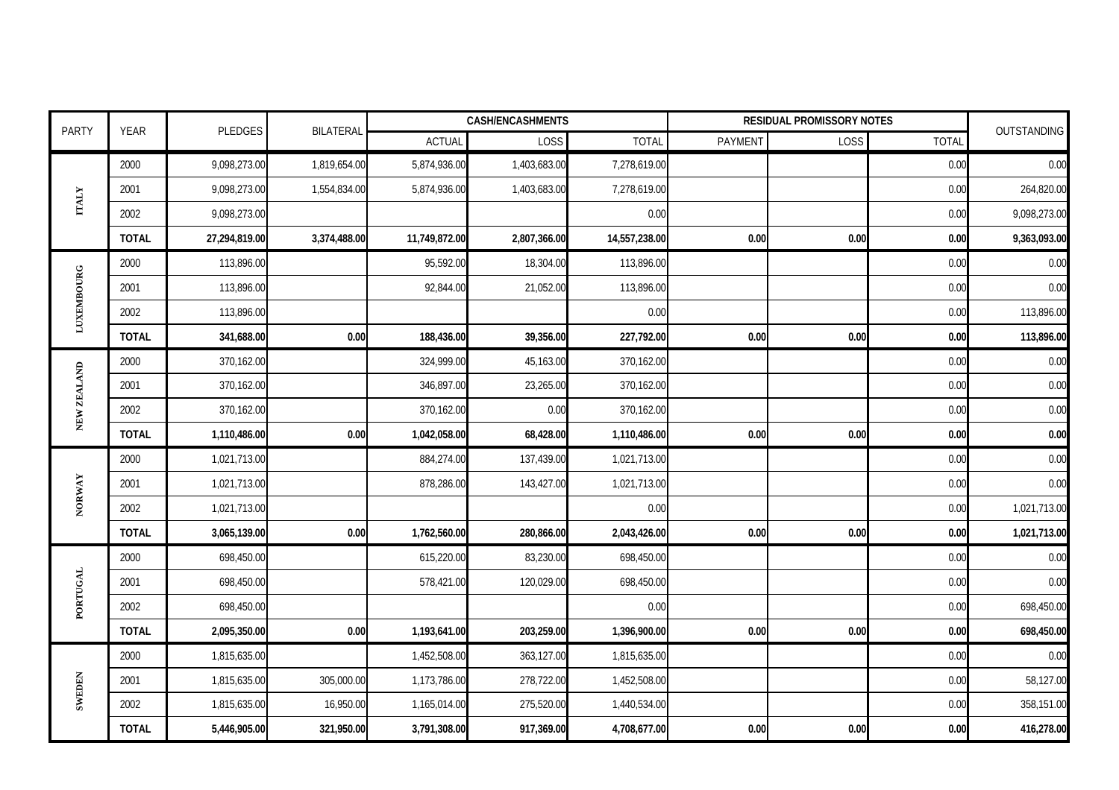| <b>PARTY</b>      | <b>YEAR</b>  | PLEDGES       | <b>BILATERAL</b> |               | <b>CASH/ENCASHMENTS</b> |               |         | <b>RESIDUAL PROMISSORY NOTES</b> |              | OUTSTANDING  |
|-------------------|--------------|---------------|------------------|---------------|-------------------------|---------------|---------|----------------------------------|--------------|--------------|
|                   |              |               |                  | <b>ACTUAL</b> | LOSS                    | <b>TOTAL</b>  | PAYMENT | LOSS                             | <b>TOTAL</b> |              |
|                   | 2000         | 9,098,273.00  | 1,819,654.00     | 5,874,936.00  | 1,403,683.00            | 7,278,619.00  |         |                                  | 0.00         | 0.00         |
| <b>TIALY</b>      | 2001         | 9,098,273.00  | 1,554,834.00     | 5,874,936.00  | 1,403,683.00            | 7,278,619.00  |         |                                  | 0.00         | 264,820.00   |
|                   | 2002         | 9,098,273.00  |                  |               |                         | 0.00          |         |                                  | 0.00         | 9,098,273.00 |
|                   | <b>TOTAL</b> | 27,294,819.00 | 3,374,488.00     | 11,749,872.00 | 2,807,366.00            | 14,557,238.00 | 0.00    | 0.00                             | 0.00         | 9,363,093.00 |
|                   | 2000         | 113,896.00    |                  | 95,592.00     | 18,304.00               | 113,896.00    |         |                                  | 0.00         | 0.00         |
|                   | 2001         | 113,896.00    |                  | 92,844.00     | 21,052.00               | 113,896.00    |         |                                  | 0.00         | 0.00         |
| <b>LUXEMBOURG</b> | 2002         | 113,896.00    |                  |               |                         | 0.00          |         |                                  | 0.00         | 113,896.00   |
|                   | <b>TOTAL</b> | 341,688.00    | 0.00             | 188,436.00    | 39,356.00               | 227,792.00    | 0.00    | 0.00                             | 0.00         | 113,896.00   |
|                   | 2000         | 370,162.00    |                  | 324,999.00    | 45,163.00               | 370,162.00    |         |                                  | 0.00         | 0.00         |
|                   | 2001         | 370,162.00    |                  | 346,897.00    | 23,265.00               | 370,162.00    |         |                                  | 0.00         | 0.00         |
| NEW ZEALAND       | 2002         | 370,162.00    |                  | 370,162.00    | 0.00                    | 370,162.00    |         |                                  | 0.00         | 0.00         |
|                   | <b>TOTAL</b> | 1,110,486.00  | 0.00             | 1,042,058.00  | 68,428.00               | 1,110,486.00  | 0.00    | 0.00                             | 0.00         | 0.00         |
|                   | 2000         | 1,021,713.00  |                  | 884,274.00    | 137,439.00              | 1,021,713.00  |         |                                  | 0.00         | 0.00         |
| NORWAY            | 2001         | 1,021,713.00  |                  | 878,286.00    | 143,427.00              | 1,021,713.00  |         |                                  | 0.00         | 0.00         |
|                   | 2002         | 1,021,713.00  |                  |               |                         | 0.00          |         |                                  | 0.00         | 1,021,713.00 |
|                   | <b>TOTAL</b> | 3,065,139.00  | 0.00             | 1,762,560.00  | 280,866.00              | 2,043,426.00  | 0.00    | 0.00                             | 0.00         | 1,021,713.00 |
|                   | 2000         | 698,450.00    |                  | 615,220.00    | 83,230.00               | 698,450.00    |         |                                  | 0.00         | 0.00         |
| <b>PORTUGAL</b>   | 2001         | 698,450.00    |                  | 578,421.00    | 120,029.00              | 698,450.00    |         |                                  | 0.00         | 0.00         |
|                   | 2002         | 698,450.00    |                  |               |                         | 0.00          |         |                                  | 0.00         | 698,450.00   |
|                   | <b>TOTAL</b> | 2,095,350.00  | 0.00             | 1,193,641.00  | 203,259.00              | 1,396,900.00  | 0.00    | 0.00                             | 0.00         | 698,450.00   |
|                   | 2000         | 1,815,635.00  |                  | 1,452,508.00  | 363,127.00              | 1,815,635.00  |         |                                  | 0.00         | 0.00         |
|                   | 2001         | 1,815,635.00  | 305,000.00       | 1,173,786.00  | 278,722.00              | 1,452,508.00  |         |                                  | 0.00         | 58,127.00    |
| SWEDEN            | 2002         | 1,815,635.00  | 16,950.00        | 1,165,014.00  | 275,520.00              | 1,440,534.00  |         |                                  | 0.00         | 358,151.00   |
|                   | <b>TOTAL</b> | 5,446,905.00  | 321,950.00       | 3,791,308.00  | 917,369.00              | 4,708,677.00  | 0.00    | 0.00                             | 0.00         | 416,278.00   |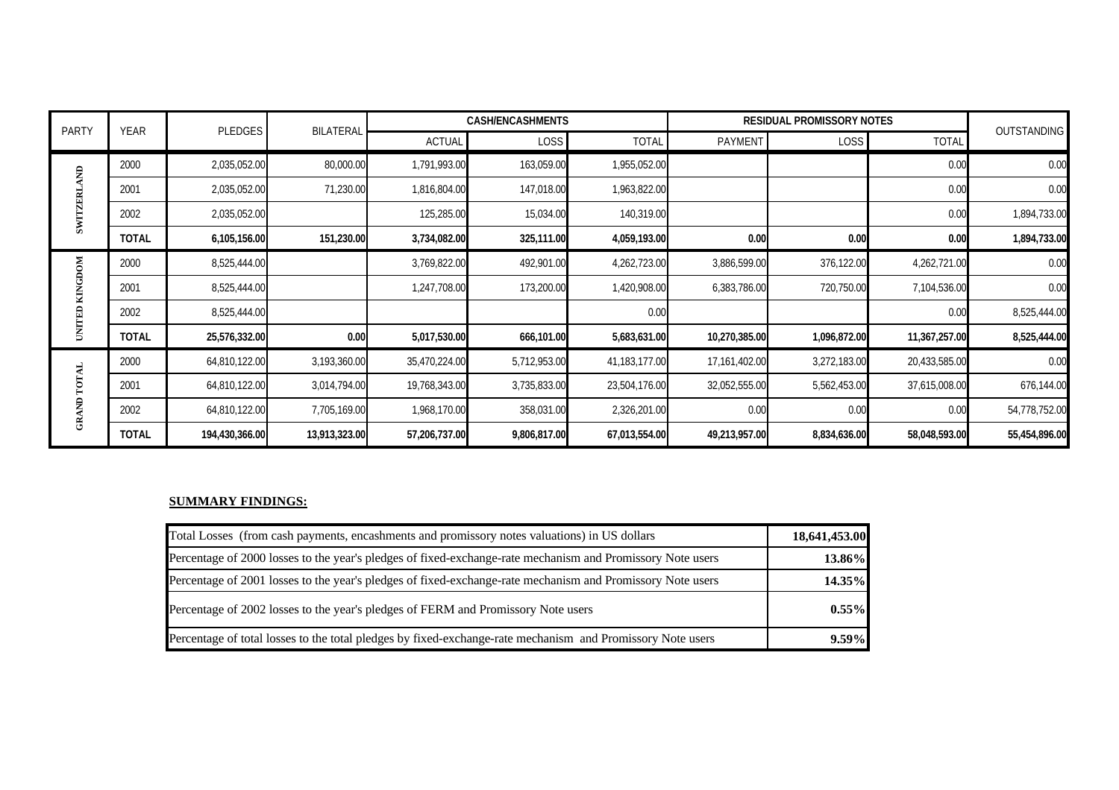|               |              |                |                  |               | <b>CASH/ENCASHMENTS</b> |               |               | <b>RESIDUAL PROMISSORY NOTES</b> |               |               |
|---------------|--------------|----------------|------------------|---------------|-------------------------|---------------|---------------|----------------------------------|---------------|---------------|
| <b>PARTY</b>  | YEAR         | <b>PLEDGES</b> | <b>BILATERAL</b> | <b>ACTUAL</b> | <b>LOSS</b>             | <b>TOTAL</b>  | PAYMENT       | LOSS                             | <b>TOTAL</b>  | OUTSTANDING   |
| ę             | 2000         | 2,035,052.00   | 80,000.00        | 1,791,993.00  | 163,059.00              | 1,955,052.00  |               |                                  | 0.00          | 0.00          |
|               | 2001         | 2,035,052.00   | 71,230.00        | 1,816,804.00  | 147,018.00              | 1,963,822.00  |               |                                  | 0.00          | 0.00          |
| <b>EXLIMS</b> | 2002         | 2,035,052.00   |                  | 125,285.00    | 15,034.00               | 140,319.00    |               |                                  | 0.00          | 1,894,733.00  |
|               | <b>TOTAL</b> | 6,105,156.00   | 151,230.00       | 3,734,082.00  | 325,111.00              | 4,059,193.00  | 0.00          | 0.00                             | 0.00          | 1,894,733.00  |
| MО            | 2000         | 8,525,444.00   |                  | 3,769,822.00  | 492,901.00              | 4,262,723.00  | 3,886,599.00  | 376,122.00                       | 4,262,721.00  | 0.00          |
|               | 2001         | 8,525,444.00   |                  | 1,247,708.00  | 173,200.00              | 1,420,908.00  | 6,383,786.00  | 720,750.00                       | 7,104,536.00  | 0.00          |
| 旵             | 2002         | 8,525,444.00   |                  |               |                         | 0.00          |               |                                  | 0.00          | 8,525,444.00  |
| Ē             | <b>TOTAL</b> | 25,576,332.00  | 0.00             | 5,017,530.00  | 666,101.00              | 5,683,631.00  | 10,270,385.00 | 1,096,872.00                     | 11,367,257.00 | 8,525,444.00  |
|               | 2000         | 64,810,122.00  | 3,193,360.00     | 35,470,224.00 | 5,712,953.00            | 41,183,177.00 | 17,161,402.00 | 3,272,183.00                     | 20,433,585.00 | 0.00          |
|               | 2001         | 64,810,122.00  | 3,014,794.00     | 19,768,343.00 | 3,735,833.00            | 23,504,176.00 | 32,052,555.00 | 5,562,453.00                     | 37,615,008.00 | 676,144.00    |
| Ę             | 2002         | 64,810,122.00  | 7,705,169.00     | 1,968,170.00  | 358,031.00              | 2,326,201.00  | 0.00          | 0.00                             | 0.00          | 54,778,752.00 |
| සී            | <b>TOTAL</b> | 194,430,366.00 | 13,913,323.00    | 57,206,737.00 | 9,806,817.00            | 67,013,554.00 | 49,213,957.00 | 8,834,636.00                     | 58,048,593.00 | 55,454,896.00 |

#### **SUMMARY FINDINGS:**

| Total Losses (from cash payments, encashments and promissory notes valuations) in US dollars               | 18,641,453.00 |
|------------------------------------------------------------------------------------------------------------|---------------|
| Percentage of 2000 losses to the year's pledges of fixed-exchange-rate mechanism and Promissory Note users | 13.86%        |
| Percentage of 2001 losses to the year's pledges of fixed-exchange-rate mechanism and Promissory Note users | 14.35%        |
| Percentage of 2002 losses to the year's pledges of FERM and Promissory Note users                          | $0.55\%$      |
| Percentage of total losses to the total pledges by fixed-exchange-rate mechanism and Promissory Note users | 9.59%         |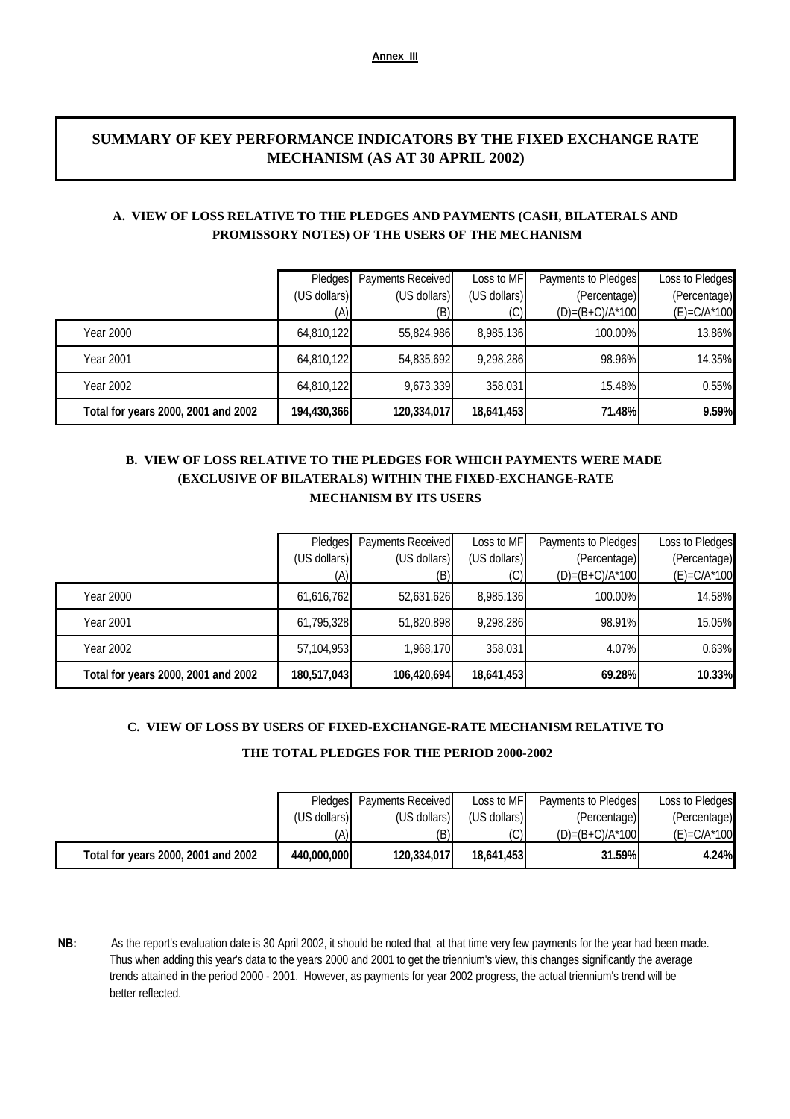## **SUMMARY OF KEY PERFORMANCE INDICATORS BY THE FIXED EXCHANGE RATE MECHANISM (AS AT 30 APRIL 2002)**

### **A. VIEW OF LOSS RELATIVE TO THE PLEDGES AND PAYMENTS (CASH, BILATERALS AND PROMISSORY NOTES) OF THE USERS OF THE MECHANISM**

|                                     | Pledges      | Payments Received | Loss to MF   | Payments to Pledges | Loss to Pledges  |
|-------------------------------------|--------------|-------------------|--------------|---------------------|------------------|
|                                     | (US dollars) | (US dollars)      | (US dollars) | (Percentage)        | (Percentage)     |
|                                     | (A)          | (B)               |              | $(D)=(B+C)/A^*100$  | $(E) = C/A^*100$ |
| Year 2000                           | 64,810,122   | 55,824,986        | 8,985,136    | 100.00%             | 13.86%           |
| <b>Year 2001</b>                    | 64,810,122   | 54,835,692        | 9,298,286    | 98.96%              | 14.35%           |
| Year 2002                           | 64,810,122   | 9,673,339         | 358,031      | 15.48%              | 0.55%            |
| Total for years 2000, 2001 and 2002 | 194,430,366  | 120,334,017       | 18,641,453   | 71.48%              | 9.59%            |

## **(EXCLUSIVE OF BILATERALS) WITHIN THE FIXED-EXCHANGE-RATE B. VIEW OF LOSS RELATIVE TO THE PLEDGES FOR WHICH PAYMENTS WERE MADE MECHANISM BY ITS USERS**

| Total for years 2000, 2001 and 2002 | 180,517,043                    | 106,420,694                                     | 18,641,453                        | 69.28%                                                    | 10.33%                                              |
|-------------------------------------|--------------------------------|-------------------------------------------------|-----------------------------------|-----------------------------------------------------------|-----------------------------------------------------|
| Year 2002                           | 57,104,953                     | 1,968,170                                       | 358,031                           | 4.07%                                                     | 0.63%                                               |
| Year 2001                           | 61,795,328                     | 51,820,898                                      | 9,298,286                         | 98.91%                                                    | 15.05%                                              |
| Year 2000                           | 61,616,762                     | 52,631,626                                      | 8,985,136                         | 100.00%                                                   | 14.58%                                              |
|                                     | Pledges<br>(US dollars)<br>(A) | <b>Payments Received</b><br>(US dollars)<br>(B) | Loss to MF<br>(US dollars)<br>(C) | Payments to Pledges<br>(Percentage)<br>$(D)=(B+C)/A^*100$ | Loss to Pledges<br>(Percentage)<br>$(E) = C/A^*100$ |

#### **C. VIEW OF LOSS BY USERS OF FIXED-EXCHANGE-RATE MECHANISM RELATIVE TO**

#### **THE TOTAL PLEDGES FOR THE PERIOD 2000-2002**

|                                     |              | Pledges Payments Received | Loss to MF   | Payments to Pledges | Loss to Pledges  |
|-------------------------------------|--------------|---------------------------|--------------|---------------------|------------------|
|                                     | (US dollars) | (US dollars)              | (US dollars) | (Percentage)        | (Percentage)     |
|                                     | (A)          | (B)                       |              | $(D)=(B+C)/A^*100$  | $(E) = C/A^*100$ |
| Total for years 2000, 2001 and 2002 | 440,000,000  | 120,334,017               | 18,641,453   | 31.59%              | 4.24%            |

**NB:** As the report's evaluation date is 30 April 2002, it should be noted that at that time very few payments for the year had been made. Thus when adding this year's data to the years 2000 and 2001 to get the triennium's view, this changes significantly the average trends attained in the period 2000 - 2001. However, as payments for year 2002 progress, the actual triennium's trend will be better reflected.